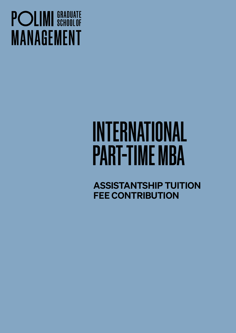## **POLIMI** SCHOOLOF **MANAGEMENT**

# INTERNATIONAL PART-TIME MBA

ASSISTANTSHIP TUITION FEE CONTRIBUTION